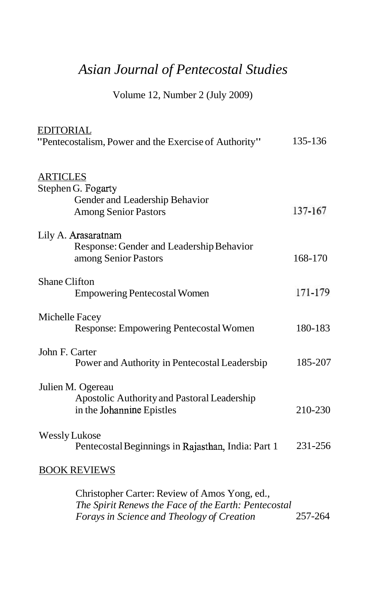## *Asian Journal of Pentecostal Studies*

Volume 12, Number 2 (July 2009)

| <b>EDITORIAL</b><br>"Pentecostalism, Power and the Exercise of Authority"                              | 135-136 |
|--------------------------------------------------------------------------------------------------------|---------|
| <b>ARTICLES</b><br>Stephen G. Fogarty<br>Gender and Leadership Behavior<br><b>Among Senior Pastors</b> | 137-167 |
| Lily A. Arasaratnam<br>Response: Gender and Leadership Behavior<br>among Senior Pastors                | 168-170 |
| <b>Shane Clifton</b><br><b>Empowering Pentecostal Women</b>                                            | 171-179 |
| Michelle Facey<br>Response: Empowering Pentecostal Women                                               | 180-183 |
| John F. Carter<br>Power and Authority in Pentecostal Leadersbip                                        | 185-207 |
| Julien M. Ogereau<br>Apostolic Authority and Pastoral Leadership<br>in the Johannine Epistles          | 210-230 |
| Wessly Lukose<br>Pentecostal Beginnings in Rajasthan, India: Part 1                                    | 231-256 |
| <b>BOOK REVIEWS</b>                                                                                    |         |
| Christopher Carter: Review of Amos Yong, ed.,                                                          |         |

*The Spirit Renews the Face of the Earth: Pentecostal Forays in Science and Theology of Creation*